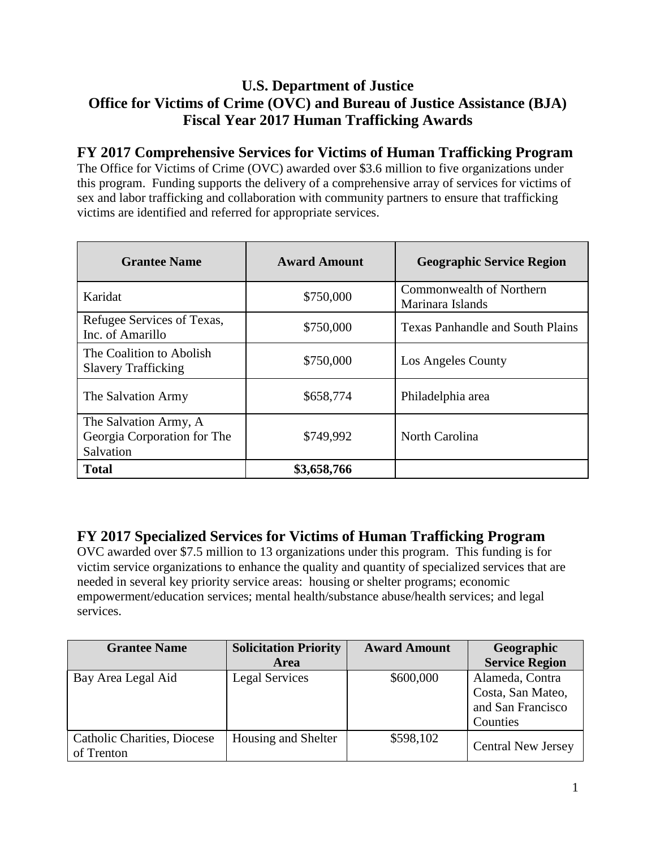### **U.S. Department of Justice Office for Victims of Crime (OVC) and Bureau of Justice Assistance (BJA) Fiscal Year 2017 Human Trafficking Awards**

### **FY 2017 Comprehensive Services for Victims of Human Trafficking Program**

The Office for Victims of Crime (OVC) awarded over \$3.6 million to five organizations under this program. Funding supports the delivery of a comprehensive array of services for victims of sex and labor trafficking and collaboration with community partners to ensure that trafficking victims are identified and referred for appropriate services.

| <b>Grantee Name</b>                                               | <b>Award Amount</b> | <b>Geographic Service Region</b>             |
|-------------------------------------------------------------------|---------------------|----------------------------------------------|
| Karidat                                                           | \$750,000           | Commonwealth of Northern<br>Marinara Islands |
| Refugee Services of Texas,<br>Inc. of Amarillo                    | \$750,000           | <b>Texas Panhandle and South Plains</b>      |
| The Coalition to Abolish<br><b>Slavery Trafficking</b>            | \$750,000           | Los Angeles County                           |
| The Salvation Army                                                | \$658,774           | Philadelphia area                            |
| The Salvation Army, A<br>Georgia Corporation for The<br>Salvation | \$749,992           | North Carolina                               |
| <b>Total</b>                                                      | \$3,658,766         |                                              |

### **FY 2017 Specialized Services for Victims of Human Trafficking Program**

OVC awarded over \$7.5 million to 13 organizations under this program. This funding is for victim service organizations to enhance the quality and quantity of specialized services that are needed in several key priority service areas: housing or shelter programs; economic empowerment/education services; mental health/substance abuse/health services; and legal services.

| <b>Grantee Name</b>                | <b>Solicitation Priority</b> | <b>Award Amount</b> | Geographic                |
|------------------------------------|------------------------------|---------------------|---------------------------|
|                                    | Area                         |                     | <b>Service Region</b>     |
| Bay Area Legal Aid                 | Legal Services               | \$600,000           | Alameda, Contra           |
|                                    |                              |                     | Costa, San Mateo,         |
|                                    |                              |                     | and San Francisco         |
|                                    |                              |                     | Counties                  |
| <b>Catholic Charities, Diocese</b> | Housing and Shelter          | \$598,102           | <b>Central New Jersey</b> |
| of Trenton                         |                              |                     |                           |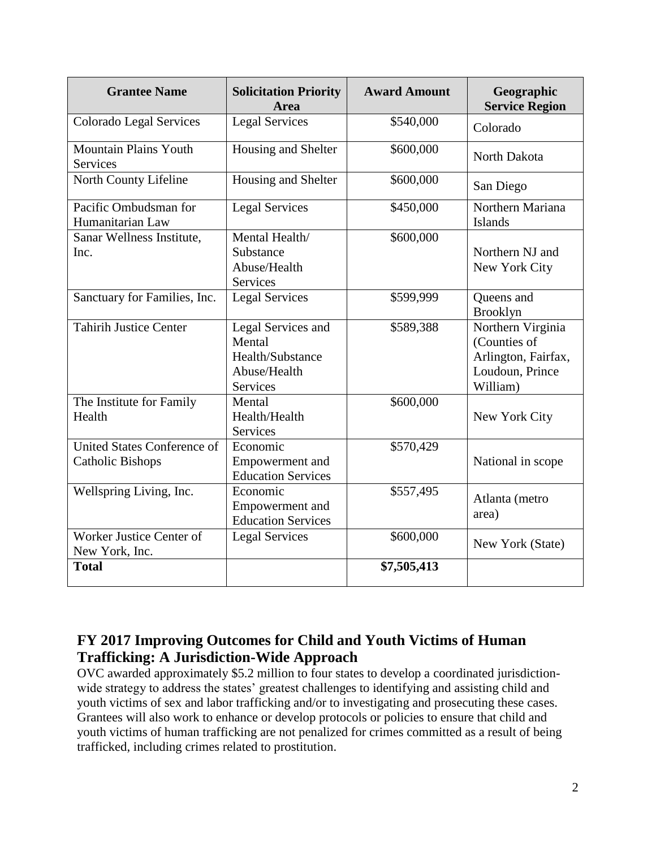| <b>Grantee Name</b>                                    | <b>Solicitation Priority</b><br>Area                                                | <b>Award Amount</b> | Geographic<br><b>Service Region</b>                                                     |
|--------------------------------------------------------|-------------------------------------------------------------------------------------|---------------------|-----------------------------------------------------------------------------------------|
| Colorado Legal Services                                | <b>Legal Services</b>                                                               | \$540,000           | Colorado                                                                                |
| <b>Mountain Plains Youth</b><br><b>Services</b>        | Housing and Shelter                                                                 | \$600,000           | North Dakota                                                                            |
| North County Lifeline                                  | Housing and Shelter                                                                 | \$600,000           | San Diego                                                                               |
| Pacific Ombudsman for<br>Humanitarian Law              | <b>Legal Services</b>                                                               | \$450,000           | Northern Mariana<br>Islands                                                             |
| Sanar Wellness Institute,<br>Inc.                      | Mental Health/<br>Substance<br>Abuse/Health<br>Services                             | \$600,000           | Northern NJ and<br>New York City                                                        |
| Sanctuary for Families, Inc.                           | <b>Legal Services</b>                                                               | \$599,999           | Queens and<br><b>Brooklyn</b>                                                           |
| <b>Tahirih Justice Center</b>                          | Legal Services and<br>Mental<br>Health/Substance<br>Abuse/Health<br><b>Services</b> | \$589,388           | Northern Virginia<br>(Counties of<br>Arlington, Fairfax,<br>Loudoun, Prince<br>William) |
| The Institute for Family<br>Health                     | Mental<br>Health/Health<br><b>Services</b>                                          | \$600,000           | New York City                                                                           |
| United States Conference of<br><b>Catholic Bishops</b> | Economic<br>Empowerment and<br><b>Education Services</b>                            | \$570,429           | National in scope                                                                       |
| Wellspring Living, Inc.                                | Economic<br>Empowerment and<br><b>Education Services</b>                            | \$557,495           | Atlanta (metro<br>area)                                                                 |
| Worker Justice Center of<br>New York, Inc.             | <b>Legal Services</b>                                                               | \$600,000           | New York (State)                                                                        |
| <b>Total</b>                                           |                                                                                     | \$7,505,413         |                                                                                         |

### **FY 2017 Improving Outcomes for Child and Youth Victims of Human Trafficking: A Jurisdiction-Wide Approach**

OVC awarded approximately \$5.2 million to four states to develop a coordinated jurisdictionwide strategy to address the states' greatest challenges to identifying and assisting child and youth victims of sex and labor trafficking and/or to investigating and prosecuting these cases. Grantees will also work to enhance or develop protocols or policies to ensure that child and youth victims of human trafficking are not penalized for crimes committed as a result of being trafficked, including crimes related to prostitution.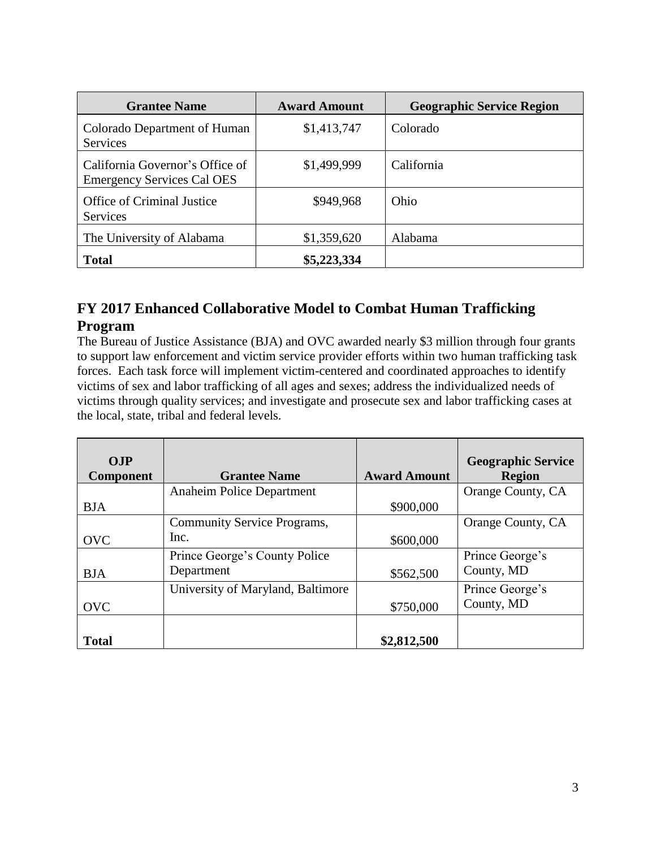| <b>Grantee Name</b>                                                  | <b>Award Amount</b> | <b>Geographic Service Region</b> |
|----------------------------------------------------------------------|---------------------|----------------------------------|
| Colorado Department of Human<br>Services                             | \$1,413,747         | Colorado                         |
| California Governor's Office of<br><b>Emergency Services Cal OES</b> | \$1,499,999         | California                       |
| <b>Office of Criminal Justice</b><br><b>Services</b>                 | \$949,968           | Ohio                             |
| The University of Alabama                                            | \$1,359,620         | Alabama                          |
| <b>Total</b>                                                         | \$5,223,334         |                                  |

# **FY 2017 Enhanced Collaborative Model to Combat Human Trafficking Program**

The Bureau of Justice Assistance (BJA) and OVC awarded nearly \$3 million through four grants to support law enforcement and victim service provider efforts within two human trafficking task forces. Each task force will implement victim-centered and coordinated approaches to identify victims of sex and labor trafficking of all ages and sexes; address the individualized needs of victims through quality services; and investigate and prosecute sex and labor trafficking cases at the local, state, tribal and federal levels.

| OJP              |                                    |                     | <b>Geographic Service</b> |
|------------------|------------------------------------|---------------------|---------------------------|
| <b>Component</b> | <b>Grantee Name</b>                | <b>Award Amount</b> | <b>Region</b>             |
|                  | Anaheim Police Department          |                     | Orange County, CA         |
| <b>BJA</b>       |                                    | \$900,000           |                           |
|                  | <b>Community Service Programs,</b> |                     | Orange County, CA         |
| <b>OVC</b>       | Inc.                               | \$600,000           |                           |
|                  | Prince George's County Police      |                     | Prince George's           |
| <b>BJA</b>       | Department                         | \$562,500           | County, MD                |
|                  | University of Maryland, Baltimore  |                     | Prince George's           |
| <b>OVC</b>       |                                    | \$750,000           | County, MD                |
|                  |                                    |                     |                           |
| <b>Total</b>     |                                    | \$2,812,500         |                           |